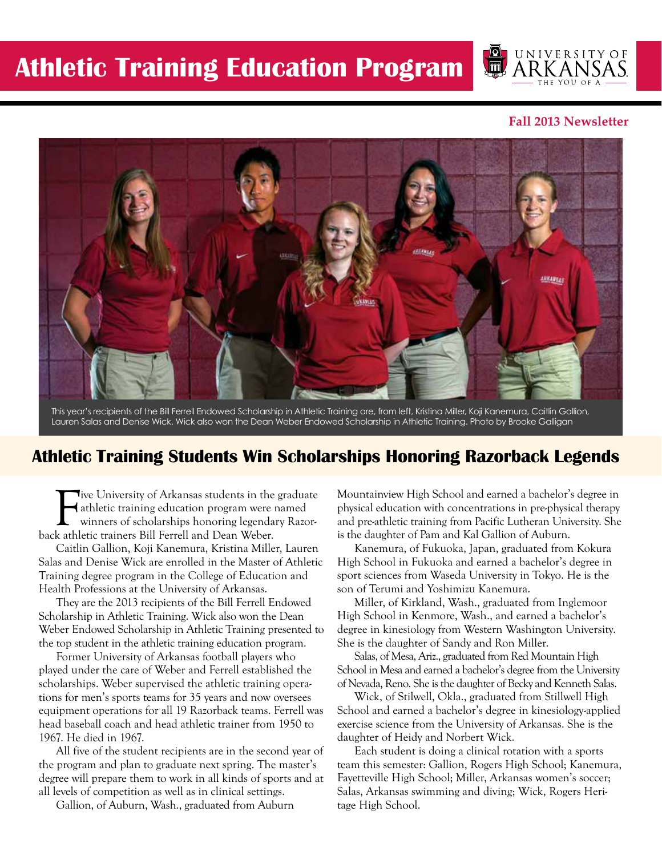

### **Fall 2013 Newsletter**



This year's recipients of the Bill Ferrell Endowed Scholarship in Athletic Training are, from left, Kristina Miller, Koji Kanemura, Caitlin Gallion, Lauren Salas and Denise Wick. Wick also won the Dean Weber Endowed Scholarship in Athletic Training. Photo by Brooke Galligan

## **Athletic Training Students Win Scholarships Honoring Razorback Legends**

Tive University of Arkansas students in the<br>athletic training education program were<br>back athletic trainers Bill Ferrell and Dean Weber. **Jive University of Arkansas students in the graduate** athletic training education program were named winners of scholarships honoring legendary Razor-

Caitlin Gallion, Koji Kanemura, Kristina Miller, Lauren Salas and Denise Wick are enrolled in the Master of Athletic Training degree program in the College of Education and Health Professions at the University of Arkansas.

They are the 2013 recipients of the Bill Ferrell Endowed Scholarship in Athletic Training. Wick also won the Dean Weber Endowed Scholarship in Athletic Training presented to the top student in the athletic training education program.

Former University of Arkansas football players who played under the care of Weber and Ferrell established the scholarships. Weber supervised the athletic training operations for men's sports teams for 35 years and now oversees equipment operations for all 19 Razorback teams. Ferrell was head baseball coach and head athletic trainer from 1950 to 1967. He died in 1967.

All five of the student recipients are in the second year of the program and plan to graduate next spring. The master's degree will prepare them to work in all kinds of sports and at all levels of competition as well as in clinical settings.

Gallion, of Auburn, Wash., graduated from Auburn

Mountainview High School and earned a bachelor's degree in physical education with concentrations in pre-physical therapy and pre-athletic training from Pacific Lutheran University. She is the daughter of Pam and Kal Gallion of Auburn.

Kanemura, of Fukuoka, Japan, graduated from Kokura High School in Fukuoka and earned a bachelor's degree in sport sciences from Waseda University in Tokyo. He is the son of Terumi and Yoshimizu Kanemura.

Miller, of Kirkland, Wash., graduated from Inglemoor High School in Kenmore, Wash., and earned a bachelor's degree in kinesiology from Western Washington University. She is the daughter of Sandy and Ron Miller.

Salas, of Mesa, Ariz., graduated from Red Mountain High School in Mesa and earned a bachelor's degree from the University of Nevada, Reno. She is the daughter of Becky and Kenneth Salas.

Wick, of Stilwell, Okla., graduated from Stillwell High School and earned a bachelor's degree in kinesiology-applied exercise science from the University of Arkansas. She is the daughter of Heidy and Norbert Wick.

Each student is doing a clinical rotation with a sports team this semester: Gallion, Rogers High School; Kanemura, Fayetteville High School; Miller, Arkansas women's soccer; Salas, Arkansas swimming and diving; Wick, Rogers Heritage High School.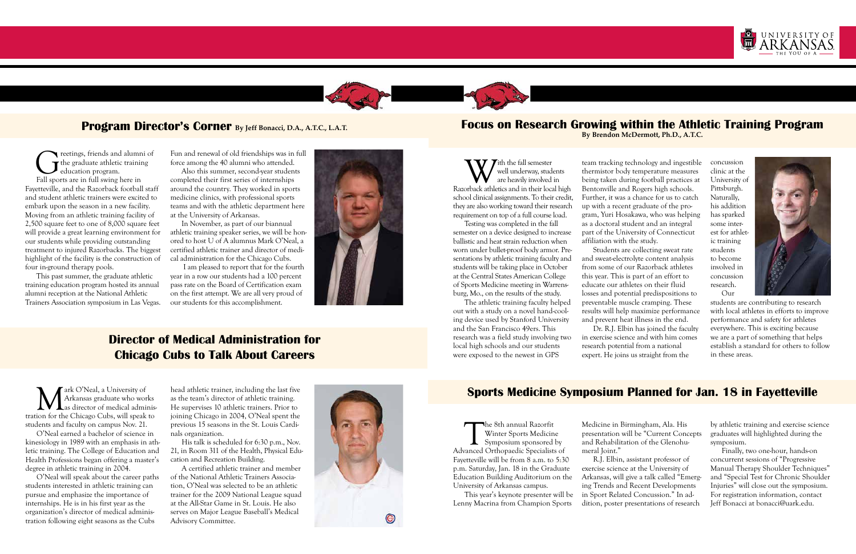

### **Program Director's Corner By Jeff Bonacci, D.A., A.T.C., L.A.T.**

# **Director of Medical Administration for Chicago Cubs to Talk About Careers**

reetings, friends and alumni of the graduate athletic training education program. Fall sports are in full swing here in Fayetteville, and the Razorback football staff and student athletic trainers were excited to embark upon the season in a new facility. Moving from an athletic training facility of 2,500 square feet to one of 8,000 square feet will provide a great learning environment for our students while providing outstanding treatment to injured Razorbacks. The biggest

highlight of the facility is the construction of four in-ground therapy pools. This past summer, the graduate athletic

training education program hosted its annual alumni reception at the National Athletic Trainers Association symposium in Las Vegas. Fun and renewal of old friendships was in full force among the 40 alumni who attended.

With the fall semester<br>well underway, stude<br>orback athletics and in their loca well underway, students are heavily involved in Razorback athletics and in their local high school clinical assignments. To their credit, they are also working toward their research requirement on top of a full course load.

Also this summer, second-year students completed their first series of internships around the country. They worked in sports medicine clinics, with professional sports teams and with the athletic department here at the University of Arkansas.

In November, as part of our biannual athletic training speaker series, we will be honored to host U of A alumnus Mark O'Neal, a certified athletic trainer and director of medical administration for the Chicago Cubs.

 I am pleased to report that for the fourth year in a row our students had a 100 percent pass rate on the Board of Certification exam on the first attempt. We are all very proud of our students for this accomplishment.



The 8th annual Razorfit<br>Winter Sports Medicin<br>Symposium sponsored<br>Vanced Orthonaedic Specialists Winter Sports Medicine Symposium sponsored by Advanced Orthopaedic Specialists of Fayetteville will be from 8 a.m. to 5:30 p.m. Saturday, Jan. 18 in the Graduate Education Building Auditorium on the University of Arkansas campus.

Testing was completed in the fall semester on a device designed to increase ballistic and heat strain reduction when worn under bullet-proof body armor. Presentations by athletic training faculty and students will be taking place in October at the Central States American College of Sports Medicine meeting in Warrensburg, Mo., on the results of the study.

The athletic training faculty helped out with a study on a novel hand-cooling device used by Stanford University and the San Francisco 49ers. This research was a field study involving two local high schools and our students were exposed to the newest in GPS

Mark O'Neal, a University of<br>Arkansas graduate who wor<br>ion for the Chicago Cubs, will speak Arkansas graduate who works as director of medical administration for the Chicago Cubs, will speak to students and faculty on campus Nov. 21.

team tracking technology and ingestible thermistor body temperature measures being taken during football practices at Bentonville and Rogers high schools. Further, it was a chance for us to catch up with a recent graduate of the program, Yuri Hosakawa, who was helping as a doctoral student and an integral part of the University of Connecticut affiliation with the study.

Students are collecting sweat rate and sweat-electrolyte content analysis from some of our Razorback athletes this year. This is part of an effort to educate our athletes on their fluid losses and potential predispositions to preventable muscle cramping. These results will help maximize performance and prevent heat illness in the end. Dr. R.J. Elbin has joined the faculty in exercise science and with him comes research potential from a national

expert. He joins us straight from the

concussion clinic at the University of Pittsburgh. Naturally, his addition has sparked some interest for athletic training students to become involved in concussion research. Our



students are contributing to research with local athletes in efforts to improve performance and safety for athletes everywhere. This is exciting because we are a part of something that helps establish a standard for others to follow in these areas.

This year's keynote presenter will be Lenny Macrina from Champion Sports

Medicine in Birmingham, Ala. His presentation will be "Current Concepts and Rehabilitation of the Glenohumeral Joint."

R.J. Elbin, assistant professor of exercise science at the University of Arkansas, will give a talk called "Emerging Trends and Recent Developments in Sport Related Concussion." In addition, poster presentations of research



by athletic training and exercise science graduates will highlighted during the symposium.

Finally, two one-hour, hands-on concurrent sessions of "Progressive Manual Therapy Shoulder Techniques" and "Special Test for Chronic Shoulder Injuries" will close out the symposium. For registration information, contact Jeff Bonacci at bonacci@uark.edu.

O'Neal earned a bachelor of science in kinesiology in 1989 with an emphasis in athletic training. The College of Education and Health Professions began offering a master's degree in athletic training in 2004.

O'Neal will speak about the career paths students interested in athletic training can pursue and emphasize the importance of internships. He is in his first year as the organization's director of medical administration following eight seasons as the Cubs

head athletic trainer, including the last five as the team's director of athletic training. He supervises 10 athletic trainers. Prior to joining Chicago in 2004, O'Neal spent the previous 15 seasons in the St. Louis Cardinals organization.

His talk is scheduled for 6:30 p.m., Nov. 21, in Room 311 of the Health, Physical Education and Recreation Building.

A certified athletic trainer and member of the National Athletic Trainers Association, O'Neal was selected to be an athletic trainer for the 2009 National League squad at the All-Star Game in St. Louis. He also serves on Major League Baseball's Medical Advisory Committee.



### **Focus on Research Growing within the Athletic Training Program By Brendon McDermott, Ph.D., A.T.C.**

# **Sports Medicine Symposium Planned for Jan. 18 in Fayetteville**